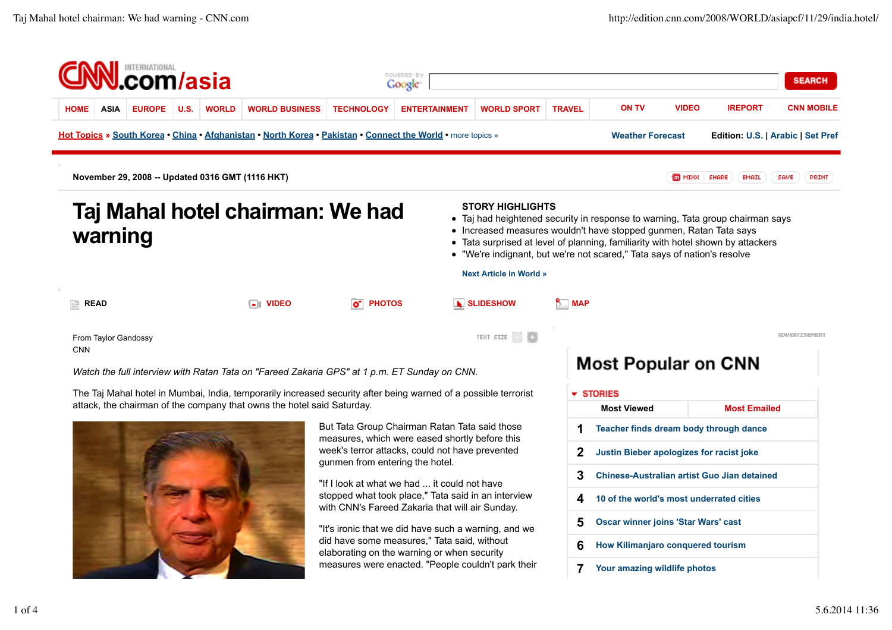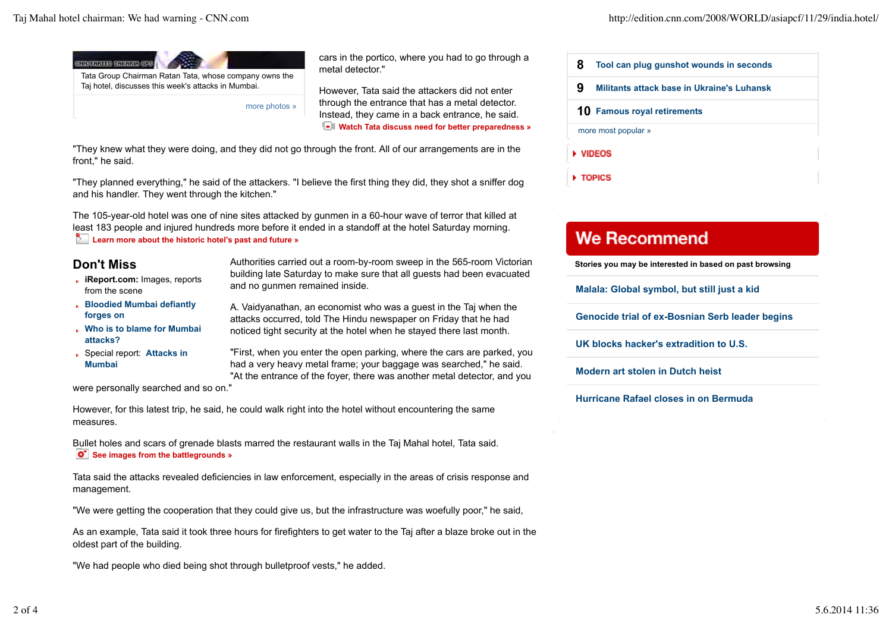

more photos »

cars in the portico, where you had to go through a metal detector."

However, Tata said the attackers did not enter through the entrance that has a metal detector. Instead, they came in a back entrance, he said. **Watch Tata discuss need for better preparedness »** 

"They knew what they were doing, and they did not go through the front. All of our arrangements are in the front," he said.

"They planned everything," he said of the attackers. "I believe the first thing they did, they shot a sniffer dog and his handler. They went through the kitchen."

The 105-year-old hotel was one of nine sites attacked by gunmen in a 60-hour wave of terror that killed at least 183 people and injured hundreds more before it ended in a standoff at the hotel Saturday morning. **Learn more about the historic hotel's past and future »** 

## **Don't Miss**

- **iReport.com:** Images, reports from the scene
- **Bloodied Mumbai defiantly forges on**
- **Who is to blame for Mumbai attacks?**
- Special report: **Attacks in Mumbai**

Authorities carried out a room-by-room sweep in the 565-room Victorian building late Saturday to make sure that all guests had been evacuated and no gunmen remained inside.

A. Vaidyanathan, an economist who was a guest in the Taj when the attacks occurred, told The Hindu newspaper on Friday that he had noticed tight security at the hotel when he stayed there last month.

"First, when you enter the open parking, where the cars are parked, you had a very heavy metal frame; your baggage was searched," he said. "At the entrance of the foyer, there was another metal detector, and you

were personally searched and so on."

However, for this latest trip, he said, he could walk right into the hotel without encountering the same measures.

Bullet holes and scars of grenade blasts marred the restaurant walls in the Taj Mahal hotel, Tata said.  $\bullet$  See images from the battlegrounds »

Tata said the attacks revealed deficiencies in law enforcement, especially in the areas of crisis response and management.

"We were getting the cooperation that they could give us, but the infrastructure was woefully poor," he said,

As an example, Tata said it took three hours for firefighters to get water to the Taj after a blaze broke out in the oldest part of the building.

"We had people who died being shot through bulletproof vests," he added.

| 8                           | Tool can plug gunshot wounds in seconds    |
|-----------------------------|--------------------------------------------|
| 9                           | Militants attack base in Ukraine's Luhansk |
| 10 Famous royal retirements |                                            |
| more most popular »         |                                            |
| ▶ VIDEOS                    |                                            |

## **We Recommend**

TOPICS

**Stories you may be interested in based on past browsing**

**Malala: Global symbol, but still just a kid**

**Genocide trial of ex-Bosnian Serb leader begins**

**UK blocks hacker's extradition to U.S.**

**Modern art stolen in Dutch heist**

**Hurricane Rafael closes in on Bermuda**